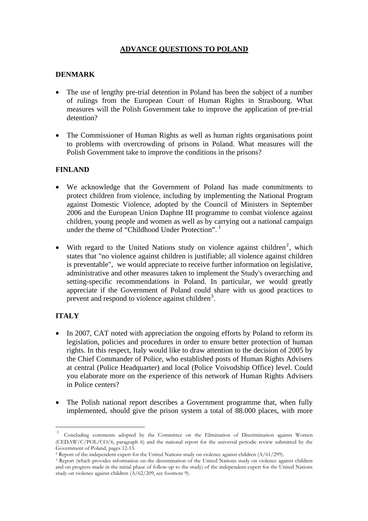# **ADVANCE QUESTIONS TO POLAND**

### **DENMARK**

- The use of lengthy pre-trial detention in Poland has been the subject of a number of rulings from the European Court of Human Rights in Strasbourg. What measures will the Polish Government take to improve the application of pre-trial detention?
- The Commissioner of Human Rights as well as human rights organisations point to problems with overcrowding of prisons in Poland. What measures will the Polish Government take to improve the conditions in the prisons?

### **FINLAND**

- We acknowledge that the Government of Poland has made commitments to protect children from violence, including by implementing the National Program against Domestic Violence, adopted by the Council of Ministers in September 2006 and the European Union Daphne III programme to combat violence against children, young people and women as well as by carrying out a national campaign under the theme of "Childhood Under Protection".<sup>[1](#page-0-0)</sup>
- With regard to the United Nations study on violence against children<sup>[2](#page-0-1)</sup>, which states that "no violence against children is justifiable; all violence against children is preventable", we would appreciate to receive further information on legislative, administrative and other measures taken to implement the Study's overarching and setting-specific recommendations in Poland. In particular, we would greatly appreciate if the Government of Poland could share with us good practices to prevent and respond to violence against children<sup>[3](#page-0-2)</sup>.

## **ITALY**

 $\overline{a}$ 

- In 2007, CAT noted with appreciation the ongoing efforts by Poland to reform its legislation, policies and procedures in order to ensure better protection of human rights. In this respect, Italy would like to draw attention to the decision of 2005 by the Chief Commander of Police, who established posts of Human Rights Advisers at central (Police Headquarter) and local (Police Voivodship Office) level. Could you elaborate more on the experience of this network of Human Rights Advisers in Police centers?
- The Polish national report describes a Government programme that, when fully implemented, should give the prison system a total of 88.000 places, with more

<span id="page-0-0"></span><sup>1</sup> Concluding comments adopted by the Committee on the Elimination of Discrimination against Women (CEDAW/C/POL/CO/6, paragraph 6) and the national report for the universal periodic review submitted by the Government of Poland, pages 12-13.

<span id="page-0-1"></span><sup>2</sup> Report of the independent expert for the United Nations study on violence against children (A/61/299).

<span id="page-0-2"></span><sup>3</sup> Report (which provides information on the dissemination of the United Nations study on violence against children and on progress made in the initial phase of follow-up to the study) of the independent expert for the United Nations study on violence against children (A/62/209, see footnote 9).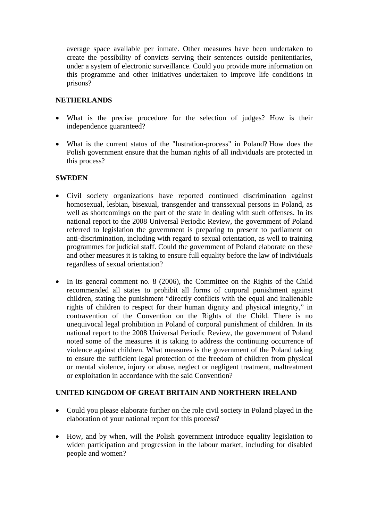average space available per inmate. Other measures have been undertaken to create the possibility of convicts serving their sentences outside penitentiaries, under a system of electronic surveillance. Could you provide more information on this programme and other initiatives undertaken to improve life conditions in prisons?

#### **NETHERLANDS**

- What is the precise procedure for the selection of judges? How is their independence guaranteed?
- What is the current status of the "lustration-process" in Poland? How does the Polish government ensure that the human rights of all individuals are protected in this process?

#### **SWEDEN**

- Civil society organizations have reported continued discrimination against homosexual, lesbian, bisexual, transgender and transsexual persons in Poland, as well as shortcomings on the part of the state in dealing with such offenses. In its national report to the 2008 Universal Periodic Review, the government of Poland referred to legislation the government is preparing to present to parliament on anti-discrimination, including with regard to sexual orientation, as well to training programmes for judicial staff. Could the government of Poland elaborate on these and other measures it is taking to ensure full equality before the law of individuals regardless of sexual orientation?
- In its general comment no. 8 (2006), the Committee on the Rights of the Child recommended all states to prohibit all forms of corporal punishment against children, stating the punishment "directly conflicts with the equal and inalienable rights of children to respect for their human dignity and physical integrity," in contravention of the Convention on the Rights of the Child. There is no unequivocal legal prohibition in Poland of corporal punishment of children. In its national report to the 2008 Universal Periodic Review, the government of Poland noted some of the measures it is taking to address the continuing occurrence of violence against children. What measures is the government of the Poland taking to ensure the sufficient legal protection of the freedom of children from physical or mental violence, injury or abuse, neglect or negligent treatment, maltreatment or exploitation in accordance with the said Convention?

#### **UNITED KINGDOM OF GREAT BRITAIN AND NORTHERN IRELAND**

- Could you please elaborate further on the role civil society in Poland played in the elaboration of your national report for this process?
- How, and by when, will the Polish government introduce equality legislation to widen participation and progression in the labour market, including for disabled people and women?